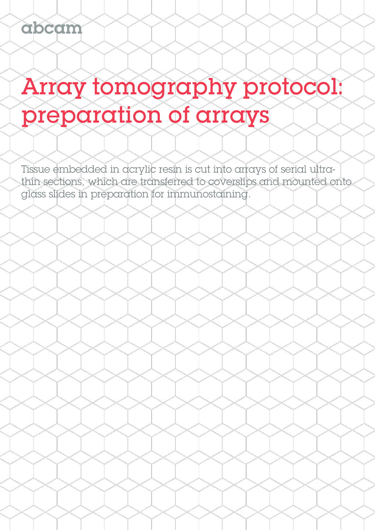# Array tomography protocol: preparation of arrays

Tissue embedded in acrylic resin is cut into arrays of serial ultrathin sections, which are transferred to coverslips and mounted onto glass slides in preparation for immunostaining.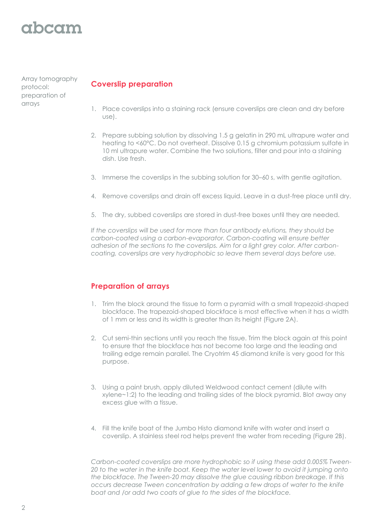# abcam

Array tomography protocol: preparation of arrays

## **Coverslip preparation**

- 1. Place coverslips into a staining rack (ensure coverslips are clean and dry before use).
- 2. Prepare subbing solution by dissolving 1.5 g gelatin in 290 mL ultrapure water and heating to <60°C. Do not overheat. Dissolve 0.15 g chromium potassium sulfate in 10 ml ultrapure water. Combine the two solutions, filter and pour into a staining dish. Use fresh.
- 3. Immerse the coverslips in the subbing solution for 30–60 s, with gentle agitation.
- 4. Remove coverslips and drain off excess liquid. Leave in a dust-free place until dry.
- 5. The dry, subbed coverslips are stored in dust-free boxes until they are needed.

*If the coverslips will be used for more than four antibody elutions, they should be carbon-coated using a carbon-evaporator. Carbon-coating will ensure better adhesion of the sections to the coverslips. Aim for a light grey color. After carboncoating, coverslips are very hydrophobic so leave them several days before use.* 

#### **Preparation of arrays**

- 1. Trim the block around the tissue to form a pyramid with a small trapezoid-shaped blockface. The trapezoid-shaped blockface is most effective when it has a width of 1 mm or less and its width is greater than its height (Figure 2A).
- 2. Cut semi-thin sections until you reach the tissue. Trim the block again at this point to ensure that the blockface has not become too large and the leading and trailing edge remain parallel. The Cryotrim 45 diamond knife is very good for this purpose.
- 3. Using a paint brush, apply diluted Weldwood contact cement (dilute with xylene~1:2) to the leading and trailing sides of the block pyramid. Blot away any excess glue with a tissue.
- 4. Fill the knife boat of the Jumbo Histo diamond knife with water and insert a coverslip. A stainless steel rod helps prevent the water from receding (Figure 2B).

*Carbon-coated coverslips are more hydrophobic so if using these add 0.005% Tween-20 to the water in the knife boat. Keep the water level lower to avoid it jumping onto the blockface. The Tween-20 may dissolve the glue causing ribbon breakage. If this occurs decrease Tween concentration by adding a few drops of water to the knife boat and /or add two coats of glue to the sides of the blockface.*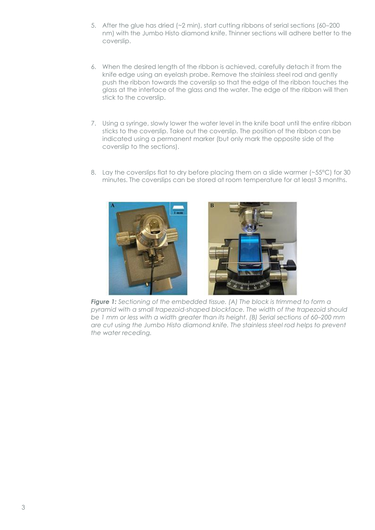- 5. After the glue has dried (~2 min), start cutting ribbons of serial sections (60–200 nm) with the Jumbo Histo diamond knife. Thinner sections will adhere better to the coverslip.
- 6. When the desired length of the ribbon is achieved, carefully detach it from the knife edge using an eyelash probe. Remove the stainless steel rod and gently push the ribbon towards the coverslip so that the edge of the ribbon touches the glass at the interface of the glass and the water. The edge of the ribbon will then stick to the coverslip.
- 7. Using a syringe, slowly lower the water level in the knife boat until the entire ribbon sticks to the coverslip. Take out the coverslip. The position of the ribbon can be indicated using a permanent marker (but only mark the opposite side of the coverslip to the sections).
- 8. Lay the coverslips flat to dry before placing them on a slide warmer (~55°C) for 30 minutes. The coverslips can be stored at room temperature for at least 3 months.



*Figure 1: Sectioning of the embedded tissue. (A) The block is trimmed to form a pyramid with a small trapezoid-shaped blockface. The width of the trapezoid should be 1 mm or less with a width greater than its height. (B) Serial sections of 60–200 mm are cut using the Jumbo Histo diamond knife. The stainless steel rod helps to prevent the water receding.*